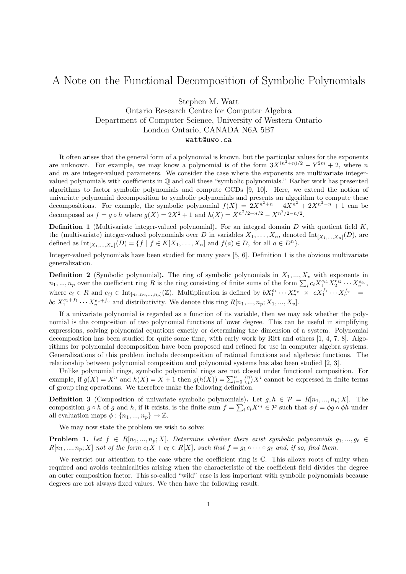## A Note on the Functional Decomposition of Symbolic Polynomials

Stephen M. Watt

## Ontario Research Centre for Computer Algebra Department of Computer Science, University of Western Ontario London Ontario, CANADA N6A 5B7 watt@uwo.ca

It often arises that the general form of a polynomial is known, but the particular values for the exponents are unknown. For example, we may know a polynomial is of the form  $3X^{(n^2+n)/2} - Y^{2m} + 2$ , where n and  $m$  are integer-valued parameters. We consider the case where the exponents are multivariate integervalued polynomials with coefficients in Q and call these "symbolic polynomials." Earlier work has presented algorithms to factor symbolic polynomials and compute GCDs [9, 10]. Here, we extend the notion of univariate polynomial decomposition to symbolic polynomials and presents an algorithm to compute these decompositions. For example, the symbolic polynomial  $f(X) = 2X^{n^2+n} - 4X^{n^2} + 2X^{n^2-n} + 1$  can be decomposed as  $f = g \circ h$  where  $g(X) = 2X^2 + 1$  and  $h(X) = X^{n^2/2 + n/2} - X^{n^2/2 - n/2}$ .

**Definition 1** (Multivariate integer-valued polynomial). For an integral domain  $D$  with quotient field  $K$ , the (multivariate) integer-valued polynomials over D in variables  $X_1, \ldots, X_n$ , denoted  $\text{Int}_{[X_1, \ldots, X_n]}(D)$ , are defined as  $Int_{[X_1,...,X_n]}(D) = \{f \mid f \in K[X_1,...,X_n] \text{ and } f(a) \in D, \text{ for all } a \in D^n\}.$ 

Integer-valued polynomials have been studied for many years [5, 6]. Definition 1 is the obvious multivariate generalization.

**Definition 2** (Symbolic polynomial). The ring of symbolic polynomials in  $X_1, ..., X_n$  with exponents in  $n_1, ..., n_p$  over the coefficient ring R is the ring consisting of finite sums of the form  $\sum_i c_i X_1^{e_{i1}} X_2^{e_{i2}} \cdots X_v^{e_{iv}},$ where  $c_i \in R$  and  $e_{ij} \in \text{Int}_{[n_1, n_2, ..., n_p]}(\mathbb{Z})$ . Multiplication is defined by  $bX_1^{e_1} \cdots X_v^{e_v} \times cX_1^{f_1} \cdots X_v^{f_v} =$ bc  $X_1^{e_1+f_1} \cdots X_v^{e_v+f_v}$  and distributivity. We denote this ring  $R[n_1, ..., n_p; X_1, ..., X_v]$ .

If a univariate polynomial is regarded as a function of its variable, then we may ask whether the polynomial is the composition of two polynomial functions of lower degree. This can be useful in simplifying expressions, solving polynomial equations exactly or determining the dimension of a system. Polynomial decomposition has been studied for quite some time, with early work by Ritt and others [1, 4, 7, 8]. Algorithms for polynomial decomposition have been proposed and refined for use in computer algebra systems. Generalizations of this problem include decomposition of rational functions and algebraic functions. The relationship between polynomial composition and polynomial systems has also been studied [2, 3].

Unlike polynomial rings, symbolic polynomial rings are not closed under functional composition. For example, if  $g(X) = X^n$  and  $h(X) = X + 1$  then  $g(h(X)) = \sum_{i=0}^n {n \choose i} X^i$  cannot be expressed in finite terms of group ring operations. We therefore make the following definition.

**Definition 3** (Composition of univariate symbolic polynomials). Let  $g, h \in \mathcal{P} = R[n_1, ..., n_p; X]$ . The composition  $g \circ h$  of g and h, if it exists, is the finite sum  $f = \sum_i c_i X^{e_i} \in \mathcal{P}$  such that  $\phi f = \phi g \circ \phi h$  under all evaluation maps  $\phi: \{n_1, ..., n_p\} \to \mathbb{Z}$ .

We may now state the problem we wish to solve:

**Problem 1.** Let  $f \in R[n_1, ..., n_p; X]$ . Determine whether there exist symbolic polynomials  $g_1, ..., g_\ell \in$  $R[n_1, ..., n_p; X]$  not of the form  $c_1X + c_0 \in R[X]$ , such that  $f = g_1 \circ \cdots \circ g_\ell$  and, if so, find them.

We restrict our attention to the case where the coefficient ring is  $\mathbb{C}$ . This allows roots of unity when required and avoids technicalities arising when the characteristic of the coefficient field divides the degree an outer composition factor. This so-called "wild" case is less important with symbolic polynomials because degrees are not always fixed values. We then have the following result.